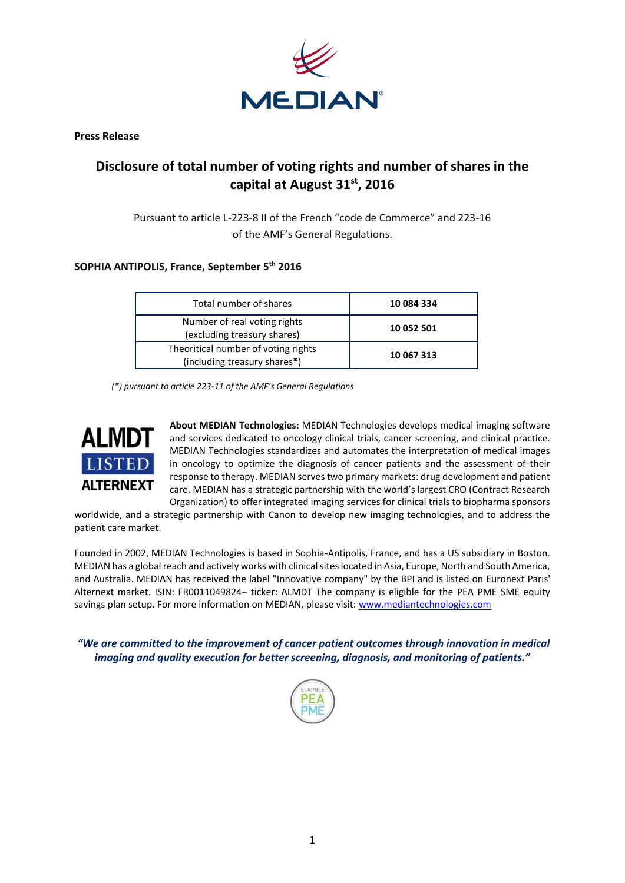

**Press Release**

## **Disclosure of total number of voting rights and number of shares in the capital at August 31 st, 2016**

Pursuant to article L-223-8 II of the French "code de Commerce" and 223-16 of the AMF's General Regulations.

## **SOPHIA ANTIPOLIS, France, September 5 th 2016**

| Total number of shares                                              | 10 084 334 |
|---------------------------------------------------------------------|------------|
| Number of real voting rights<br>(excluding treasury shares)         | 10 052 501 |
| Theoritical number of voting rights<br>(including treasury shares*) | 10 067 313 |

*(\*) pursuant to article 223-11 of the AMF's General Regulations*



**About MEDIAN Technologies:** MEDIAN Technologies develops medical imaging software and services dedicated to oncology clinical trials, cancer screening, and clinical practice. MEDIAN Technologies standardizes and automates the interpretation of medical images in oncology to optimize the diagnosis of cancer patients and the assessment of their response to therapy. MEDIAN serves two primary markets: drug development and patient care. MEDIAN has a strategic partnership with the world's largest CRO (Contract Research Organization) to offer integrated imaging services for clinical trials to biopharma sponsors

worldwide, and a strategic partnership with Canon to develop new imaging technologies, and to address the patient care market.

Founded in 2002, MEDIAN Technologies is based in Sophia-Antipolis, France, and has a US subsidiary in Boston. MEDIAN has a global reach and actively works with clinical sites located in Asia, Europe, North and South America, and Australia. MEDIAN has received the label "Innovative company" by the BPI and is listed on Euronext Paris' Alternext market. ISIN: FR0011049824– ticker: ALMDT The company is eligible for the PEA PME SME equity savings plan setup. For more information on MEDIAN, please visit: [www.mediantechnologies.com](http://www.mediantechnologies.com/)

*"We are committed to the improvement of cancer patient outcomes through innovation in medical imaging and quality execution for better screening, diagnosis, and monitoring of patients."*